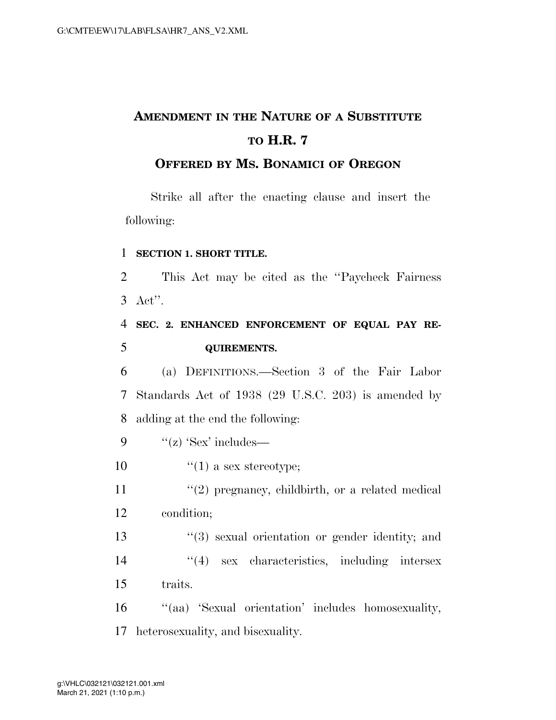# **AMENDMENT IN THE NATURE OF A SUBSTITUTE TO H.R. 7**

### **OFFERED BY MS. BONAMICI OF OREGON**

Strike all after the enacting clause and insert the following:

#### 1 **SECTION 1. SHORT TITLE.**

 This Act may be cited as the ''Paycheck Fairness 3 Act''. **SEC. 2. ENHANCED ENFORCEMENT OF EQUAL PAY RE- QUIREMENTS.**  (a) DEFINITIONS.—Section 3 of the Fair Labor Standards Act of 1938 (29 U.S.C. 203) is amended by adding at the end the following:  $"$ (z) 'Sex' includes—  $\frac{1}{2}$   $(1)$  a sex stereotype;  $(2)$  pregnancy, childbirth, or a related medical condition; ''(3) sexual orientation or gender identity; and 14 ''(4) sex characteristics, including intersex 15 traits. 16 "(aa) 'Sexual orientation' includes homosexuality,

17 heterosexuality, and bisexuality.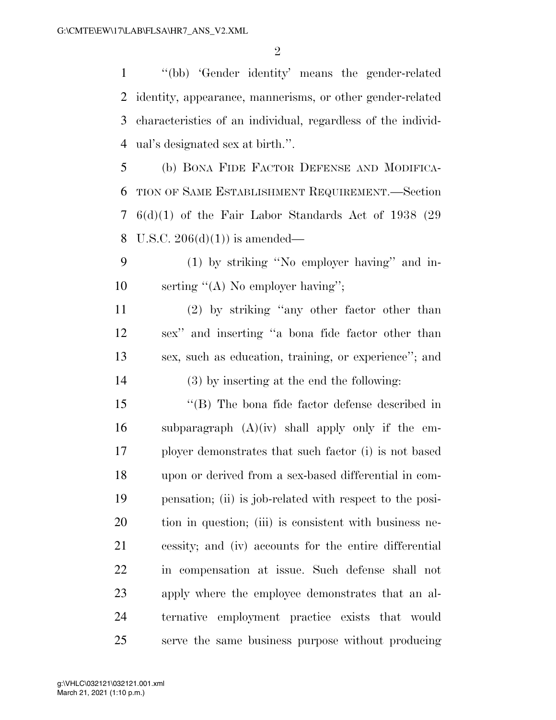''(bb) 'Gender identity' means the gender-related identity, appearance, mannerisms, or other gender-related characteristics of an individual, regardless of the individ-ual's designated sex at birth.''.

 (b) BONA FIDE FACTOR DEFENSE AND MODIFICA- TION OF SAME ESTABLISHMENT REQUIREMENT.—Section 6(d)(1) of the Fair Labor Standards Act of 1938 (29 U.S.C. 206(d)(1)) is amended—

 (1) by striking ''No employer having'' and in-10 serting "(A) No employer having";

 (2) by striking ''any other factor other than sex'' and inserting ''a bona fide factor other than sex, such as education, training, or experience''; and (3) by inserting at the end the following:

 ''(B) The bona fide factor defense described in 16 subparagraph  $(A)(iv)$  shall apply only if the em- ployer demonstrates that such factor (i) is not based upon or derived from a sex-based differential in com- pensation; (ii) is job-related with respect to the posi- tion in question; (iii) is consistent with business ne- cessity; and (iv) accounts for the entire differential in compensation at issue. Such defense shall not apply where the employee demonstrates that an al- ternative employment practice exists that would serve the same business purpose without producing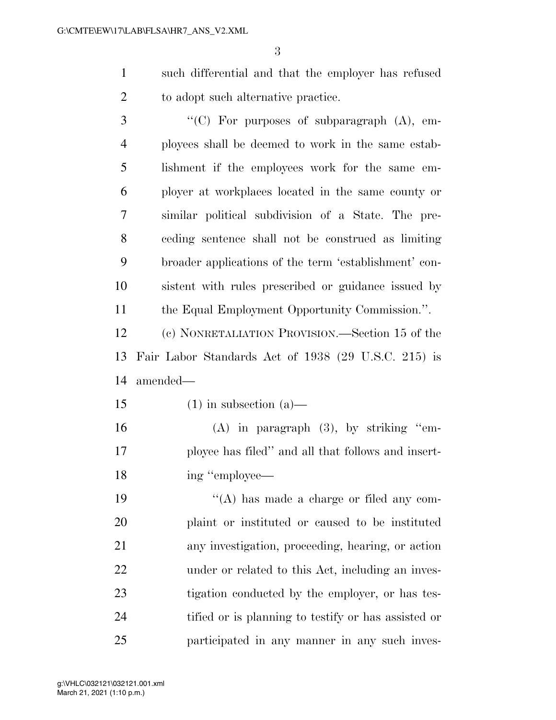such differential and that the employer has refused 2 to adopt such alternative practice.

3 "'(C) For purposes of subparagraph (A), em- ployees shall be deemed to work in the same estab- lishment if the employees work for the same em- ployer at workplaces located in the same county or similar political subdivision of a State. The pre- ceding sentence shall not be construed as limiting broader applications of the term 'establishment' con- sistent with rules prescribed or guidance issued by the Equal Employment Opportunity Commission.''.

 (c) NONRETALIATION PROVISION.—Section 15 of the Fair Labor Standards Act of 1938 (29 U.S.C. 215) is amended—

15 (1) in subsection (a)—

 (A) in paragraph (3), by striking ''em- ployee has filed'' and all that follows and insert-18 ing "employee—

19 ''(A) has made a charge or filed any com- plaint or instituted or caused to be instituted any investigation, proceeding, hearing, or action under or related to this Act, including an inves- tigation conducted by the employer, or has tes- tified or is planning to testify or has assisted or participated in any manner in any such inves-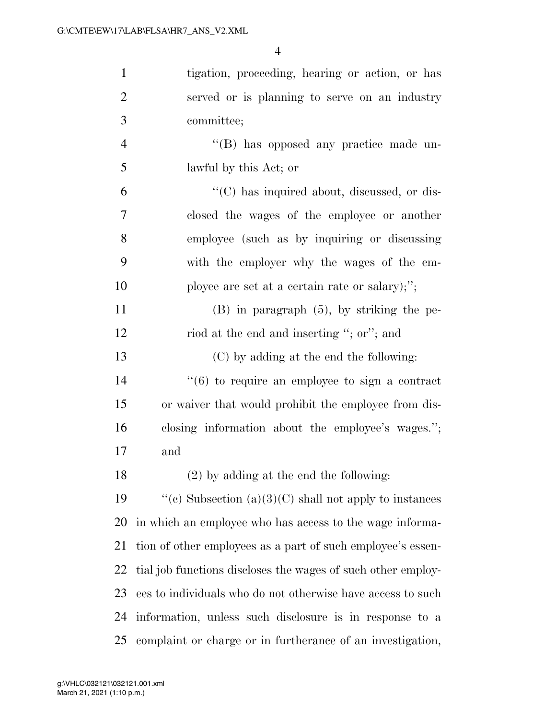| $\mathbf{1}$   | tigation, proceeding, hearing or action, or has                  |
|----------------|------------------------------------------------------------------|
| $\overline{2}$ | served or is planning to serve on an industry                    |
| 3              | committee;                                                       |
| $\overline{4}$ | "(B) has opposed any practice made un-                           |
| 5              | lawful by this Act; or                                           |
| 6              | $\lq\lq$ <sup>"</sup> (C) has inquired about, discussed, or dis- |
| 7              | closed the wages of the employee or another                      |
| 8              | employee (such as by inquiring or discussing                     |
| 9              | with the employer why the wages of the em-                       |
| 10             | ployee are set at a certain rate or salary);";                   |
| 11             | $(B)$ in paragraph $(5)$ , by striking the pe-                   |
| 12             | riod at the end and inserting "; or"; and                        |
| 13             | (C) by adding at the end the following:                          |
| 14             | $``(6)$ to require an employee to sign a contract                |
| 15             | or waiver that would prohibit the employee from dis-             |
| 16             | closing information about the employee's wages.";                |
| 17             | and                                                              |
| 18             | $(2)$ by adding at the end the following:                        |
| 19             | "(c) Subsection (a)(3)(C) shall not apply to instances           |
| 20             | in which an employee who has access to the wage informa-         |
| 21             | tion of other employees as a part of such employee's essen-      |
| 22             | tial job functions discloses the wages of such other employ-     |
| 23             | ees to individuals who do not otherwise have access to such      |
| 24             | information, unless such disclosure is in response to a          |
| 25             | complaint or charge or in furtherance of an investigation,       |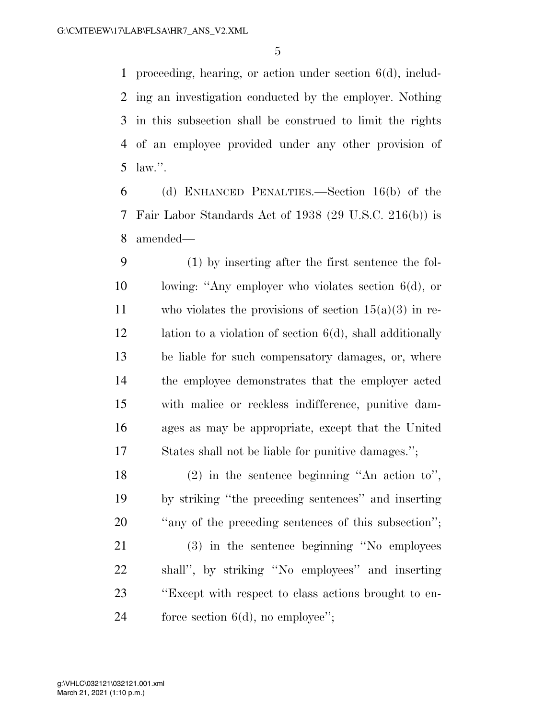proceeding, hearing, or action under section 6(d), includ- ing an investigation conducted by the employer. Nothing in this subsection shall be construed to limit the rights of an employee provided under any other provision of law.''.

 (d) ENHANCED PENALTIES.—Section 16(b) of the Fair Labor Standards Act of 1938 (29 U.S.C. 216(b)) is amended—

 (1) by inserting after the first sentence the fol- lowing: ''Any employer who violates section 6(d), or 11 who violates the provisions of section  $15(a)(3)$  in re-12 lation to a violation of section 6(d), shall additionally be liable for such compensatory damages, or, where the employee demonstrates that the employer acted with malice or reckless indifference, punitive dam- ages as may be appropriate, except that the United States shall not be liable for punitive damages.'';

 (2) in the sentence beginning ''An action to'', by striking ''the preceding sentences'' and inserting 20  $\ldots$  "any of the preceding sentences of this subsection";

 (3) in the sentence beginning ''No employees shall'', by striking ''No employees'' and inserting ''Except with respect to class actions brought to en-24 force section 6(d), no employee";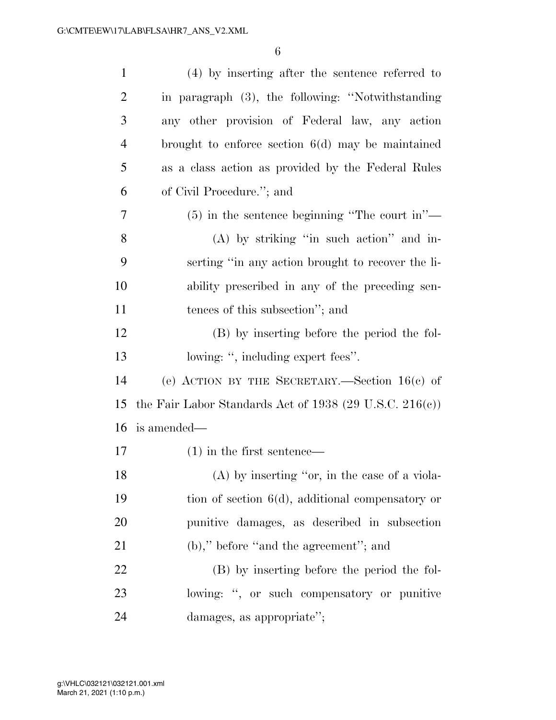| $\mathbf{1}$   | (4) by inserting after the sentence referred to             |
|----------------|-------------------------------------------------------------|
| $\overline{2}$ | in paragraph (3), the following: "Notwithstanding           |
| 3              | any other provision of Federal law, any action              |
| $\overline{4}$ | brought to enforce section $6(d)$ may be maintained         |
| 5              | as a class action as provided by the Federal Rules          |
| 6              | of Civil Procedure."; and                                   |
| 7              | $(5)$ in the sentence beginning "The court in"—             |
| 8              | $(A)$ by striking "in such action" and in-                  |
| 9              | serting "in any action brought to recover the li-           |
| 10             | ability prescribed in any of the preceding sen-             |
| 11             | tences of this subsection"; and                             |
| 12             | (B) by inserting before the period the fol-                 |
| 13             | lowing: ", including expert fees".                          |
| 14             | (e) ACTION BY THE SECRETARY.—Section $16(c)$ of             |
| 15             | the Fair Labor Standards Act of 1938 (29 U.S.C. 216 $(c)$ ) |
| 16             | is amended—                                                 |
| 17             | $(1)$ in the first sentence—                                |
| 18             | (A) by inserting "or, in the case of a viola-               |
| 19             | tion of section $6(d)$ , additional compensatory or         |
| 20             | punitive damages, as described in subsection                |
| 21             | $(b)$ ," before "and the agreement"; and                    |
| 22             | (B) by inserting before the period the fol-                 |
| 23             | lowing: ", or such compensatory or punitive                 |
| 24             | damages, as appropriate";                                   |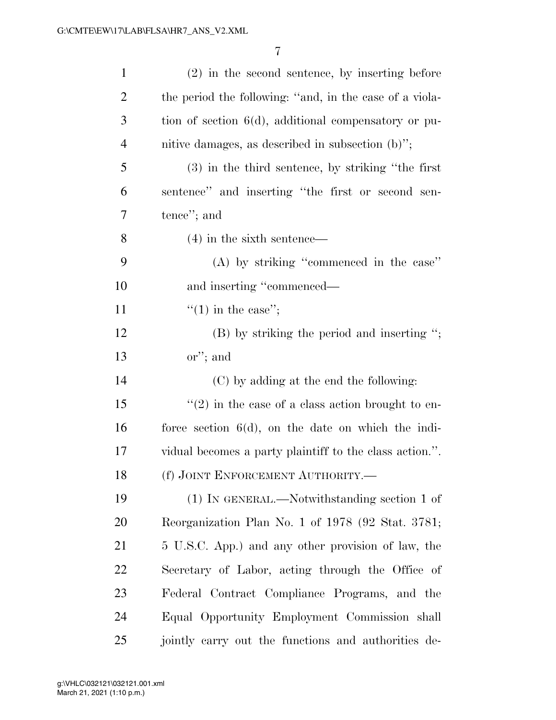| $\mathbf{1}$   | $(2)$ in the second sentence, by inserting before       |
|----------------|---------------------------------------------------------|
| $\overline{2}$ | the period the following: "and, in the case of a viola- |
| $\mathfrak{Z}$ | tion of section $6(d)$ , additional compensatory or pu- |
| $\overline{4}$ | nitive damages, as described in subsection $(b)$ ";     |
| 5              | $(3)$ in the third sentence, by striking "the first"    |
| 6              | sentence" and inserting "the first or second sen-       |
| 7              | tence"; and                                             |
| 8              | $(4)$ in the sixth sentence—                            |
| 9              | (A) by striking "commenced in the case"                 |
| 10             | and inserting "commenced—                               |
| 11             | $"(1)$ in the case";                                    |
| 12             | $(B)$ by striking the period and inserting ";           |
| 13             | $\text{or}$ "; and                                      |
| 14             | (C) by adding at the end the following:                 |
| 15             | $\lq(2)$ in the case of a class action brought to en-   |
| 16             | force section $6(d)$ , on the date on which the indi-   |
| 17             | vidual becomes a party plaintiff to the class action.". |
| 18             | (f) JOINT ENFORCEMENT AUTHORITY.                        |
| 19             | (1) IN GENERAL.—Notwithstanding section 1 of            |
| 20             | Reorganization Plan No. 1 of 1978 (92 Stat. 3781;       |
| 21             | 5 U.S.C. App.) and any other provision of law, the      |
| 22             | Secretary of Labor, acting through the Office of        |
| 23             | Federal Contract Compliance Programs, and the           |
| 24             | Equal Opportunity Employment Commission shall           |
| 25             | jointly carry out the functions and authorities de-     |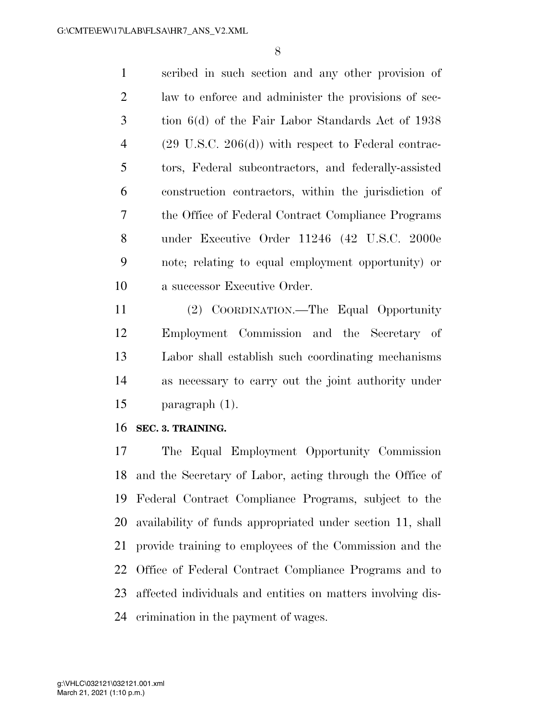scribed in such section and any other provision of law to enforce and administer the provisions of sec- tion 6(d) of the Fair Labor Standards Act of 1938 (29 U.S.C. 206(d)) with respect to Federal contrac- tors, Federal subcontractors, and federally-assisted construction contractors, within the jurisdiction of the Office of Federal Contract Compliance Programs under Executive Order 11246 (42 U.S.C. 2000e note; relating to equal employment opportunity) or a successor Executive Order.

 (2) COORDINATION.—The Equal Opportunity Employment Commission and the Secretary of Labor shall establish such coordinating mechanisms as necessary to carry out the joint authority under paragraph (1).

**SEC. 3. TRAINING.** 

 The Equal Employment Opportunity Commission and the Secretary of Labor, acting through the Office of Federal Contract Compliance Programs, subject to the availability of funds appropriated under section 11, shall provide training to employees of the Commission and the Office of Federal Contract Compliance Programs and to affected individuals and entities on matters involving dis-crimination in the payment of wages.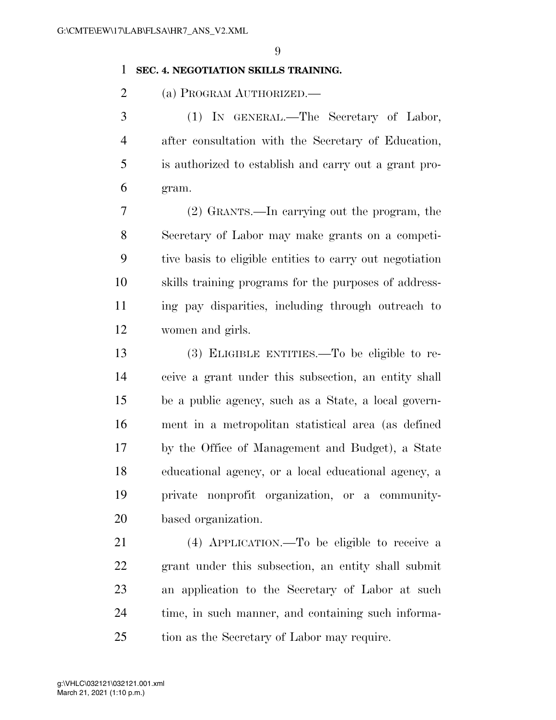#### **SEC. 4. NEGOTIATION SKILLS TRAINING.**

(a) PROGRAM AUTHORIZED.—

 (1) IN GENERAL.—The Secretary of Labor, after consultation with the Secretary of Education, is authorized to establish and carry out a grant pro-gram.

 (2) GRANTS.—In carrying out the program, the Secretary of Labor may make grants on a competi- tive basis to eligible entities to carry out negotiation skills training programs for the purposes of address- ing pay disparities, including through outreach to women and girls.

 (3) ELIGIBLE ENTITIES.—To be eligible to re- ceive a grant under this subsection, an entity shall be a public agency, such as a State, a local govern- ment in a metropolitan statistical area (as defined by the Office of Management and Budget), a State educational agency, or a local educational agency, a private nonprofit organization, or a community-based organization.

 (4) APPLICATION.—To be eligible to receive a grant under this subsection, an entity shall submit an application to the Secretary of Labor at such time, in such manner, and containing such informa-tion as the Secretary of Labor may require.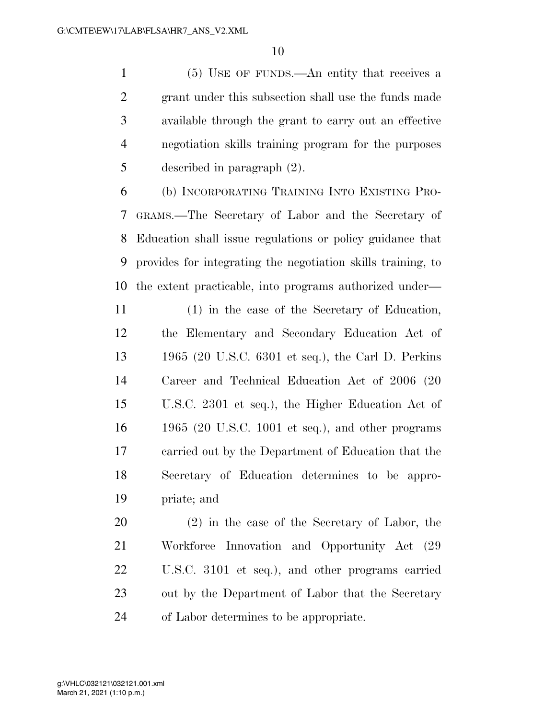(5) USE OF FUNDS.—An entity that receives a grant under this subsection shall use the funds made available through the grant to carry out an effective negotiation skills training program for the purposes described in paragraph (2).

 (b) INCORPORATING TRAINING INTO EXISTING PRO- GRAMS.—The Secretary of Labor and the Secretary of Education shall issue regulations or policy guidance that provides for integrating the negotiation skills training, to the extent practicable, into programs authorized under—

 (1) in the case of the Secretary of Education, the Elementary and Secondary Education Act of 1965 (20 U.S.C. 6301 et seq.), the Carl D. Perkins Career and Technical Education Act of 2006 (20 U.S.C. 2301 et seq.), the Higher Education Act of 1965 (20 U.S.C. 1001 et seq.), and other programs carried out by the Department of Education that the Secretary of Education determines to be appro-priate; and

 (2) in the case of the Secretary of Labor, the Workforce Innovation and Opportunity Act (29 U.S.C. 3101 et seq.), and other programs carried out by the Department of Labor that the Secretary of Labor determines to be appropriate.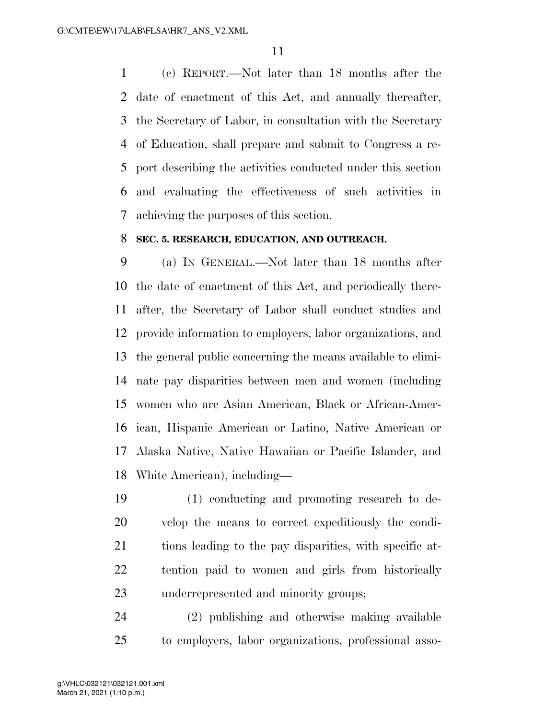(c) REPORT.—Not later than 18 months after the date of enactment of this Act, and annually thereafter, the Secretary of Labor, in consultation with the Secretary of Education, shall prepare and submit to Congress a re- port describing the activities conducted under this section and evaluating the effectiveness of such activities in achieving the purposes of this section.

#### **SEC. 5. RESEARCH, EDUCATION, AND OUTREACH.**

 (a) IN GENERAL.—Not later than 18 months after the date of enactment of this Act, and periodically there- after, the Secretary of Labor shall conduct studies and provide information to employers, labor organizations, and the general public concerning the means available to elimi- nate pay disparities between men and women (including women who are Asian American, Black or African-Amer- ican, Hispanic American or Latino, Native American or Alaska Native, Native Hawaiian or Pacific Islander, and White American), including—

 (1) conducting and promoting research to de- velop the means to correct expeditiously the condi- tions leading to the pay disparities, with specific at- tention paid to women and girls from historically underrepresented and minority groups;

 (2) publishing and otherwise making available to employers, labor organizations, professional asso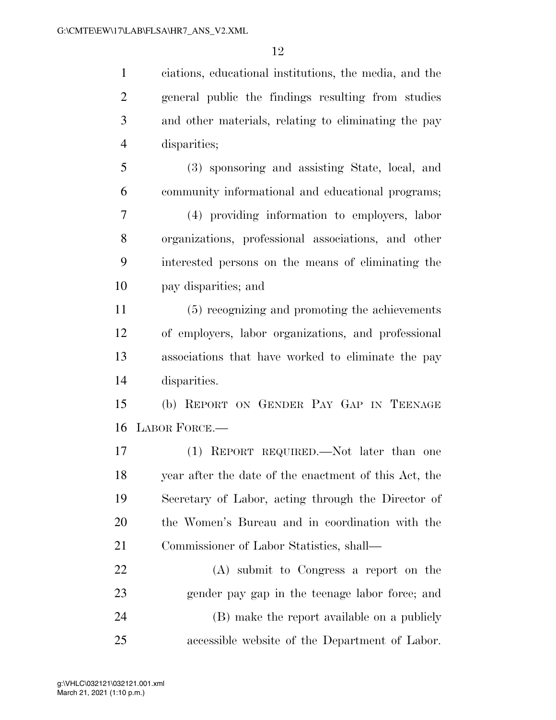ciations, educational institutions, the media, and the general public the findings resulting from studies and other materials, relating to eliminating the pay disparities;

 (3) sponsoring and assisting State, local, and community informational and educational programs;

 (4) providing information to employers, labor organizations, professional associations, and other interested persons on the means of eliminating the pay disparities; and

 (5) recognizing and promoting the achievements of employers, labor organizations, and professional associations that have worked to eliminate the pay disparities.

 (b) REPORT ON GENDER PAY GAP IN TEENAGE LABOR FORCE.—

 (1) REPORT REQUIRED.—Not later than one year after the date of the enactment of this Act, the Secretary of Labor, acting through the Director of the Women's Bureau and in coordination with the Commissioner of Labor Statistics, shall—

 (A) submit to Congress a report on the gender pay gap in the teenage labor force; and (B) make the report available on a publicly accessible website of the Department of Labor.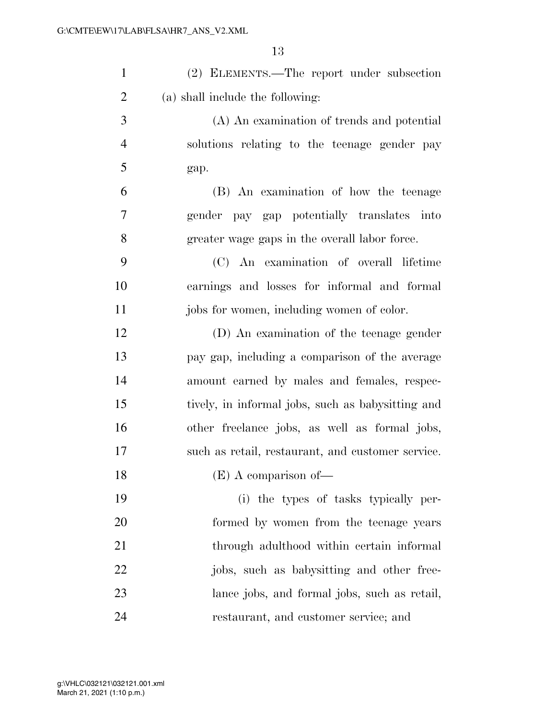| $\mathbf{1}$   | (2) ELEMENTS.—The report under subsection         |
|----------------|---------------------------------------------------|
| $\overline{2}$ | (a) shall include the following:                  |
| 3              | (A) An examination of trends and potential        |
| $\overline{4}$ | solutions relating to the teenage gender pay      |
| 5              | gap.                                              |
| 6              | (B) An examination of how the teenage             |
| $\overline{7}$ | gender pay gap potentially translates into        |
| 8              | greater wage gaps in the overall labor force.     |
| 9              | (C) An examination of overall lifetime            |
| 10             | earnings and losses for informal and formal       |
| 11             | jobs for women, including women of color.         |
| 12             | (D) An examination of the teenage gender          |
| 13             | pay gap, including a comparison of the average    |
| 14             | amount earned by males and females, respec-       |
| 15             | tively, in informal jobs, such as babysitting and |
| 16             | other freelance jobs, as well as formal jobs,     |
| 17             | such as retail, restaurant, and customer service. |
| 18             | $(E)$ A comparison of $-$                         |
| 19             | (i) the types of tasks typically per-             |
| 20             | formed by women from the teenage years            |
| 21             | through adulthood within certain informal         |
| 22             | jobs, such as babysitting and other free-         |
| 23             | lance jobs, and formal jobs, such as retail,      |
| 24             | restaurant, and customer service; and             |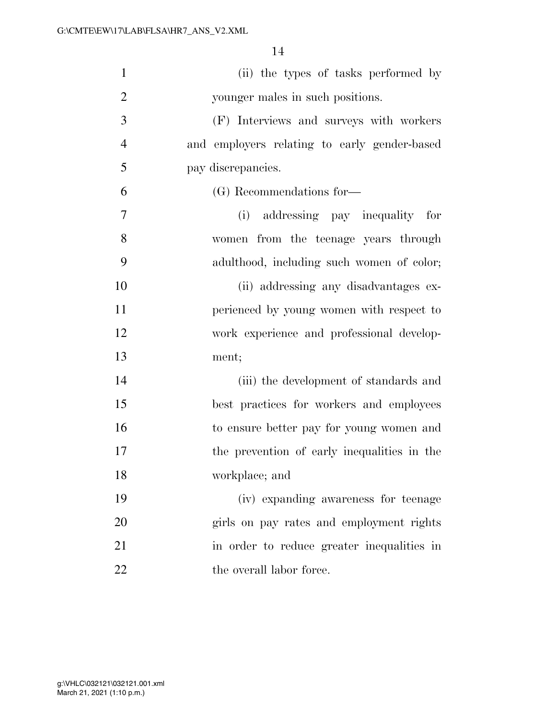| $\mathbf{1}$   | (ii) the types of tasks performed by         |
|----------------|----------------------------------------------|
| $\overline{c}$ | younger males in such positions.             |
| 3              | (F) Interviews and surveys with workers      |
| $\overline{4}$ | and employers relating to early gender-based |
| 5              | pay discrepancies.                           |
| 6              | (G) Recommendations for-                     |
| 7              | (i) addressing pay inequality for            |
| 8              | women from the teenage years through         |
| 9              | adulthood, including such women of color;    |
| 10             | (ii) addressing any disadvantages ex-        |
| 11             | perienced by young women with respect to     |
| 12             | work experience and professional develop-    |
| 13             | ment;                                        |
| 14             | (iii) the development of standards and       |
| 15             | best practices for workers and employees     |
| 16             | to ensure better pay for young women and     |
| 17             | the prevention of early inequalities in the  |
| 18             | workplace; and                               |
| 19             | (iv) expanding awareness for teenage         |
| 20             | girls on pay rates and employment rights     |
| 21             | in order to reduce greater inequalities in   |
| 22             | the overall labor force.                     |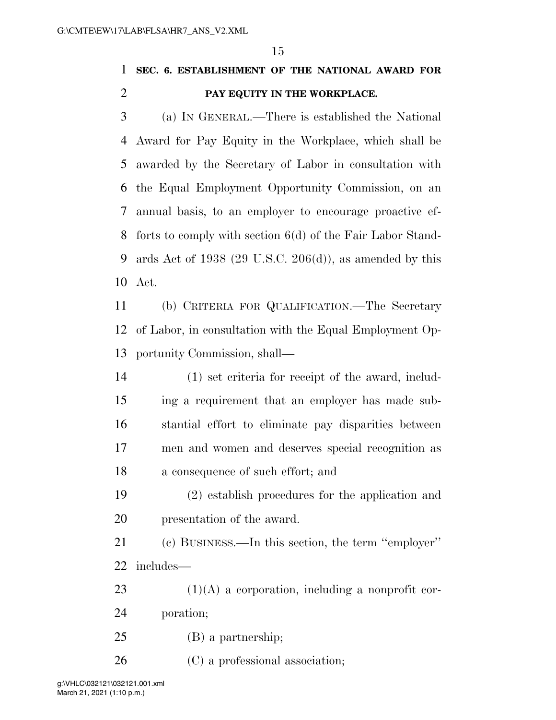### **SEC. 6. ESTABLISHMENT OF THE NATIONAL AWARD FOR PAY EQUITY IN THE WORKPLACE.**

 (a) IN GENERAL.—There is established the National Award for Pay Equity in the Workplace, which shall be awarded by the Secretary of Labor in consultation with the Equal Employment Opportunity Commission, on an annual basis, to an employer to encourage proactive ef- forts to comply with section 6(d) of the Fair Labor Stand- ards Act of 1938 (29 U.S.C. 206(d)), as amended by this Act.

 (b) CRITERIA FOR QUALIFICATION.—The Secretary of Labor, in consultation with the Equal Employment Op-portunity Commission, shall—

 (1) set criteria for receipt of the award, includ- ing a requirement that an employer has made sub- stantial effort to eliminate pay disparities between men and women and deserves special recognition as a consequence of such effort; and

 (2) establish procedures for the application and presentation of the award.

 (c) BUSINESS.—In this section, the term ''employer'' includes—

 (1)(A) a corporation, including a nonprofit cor-poration;

(B) a partnership;

(C) a professional association;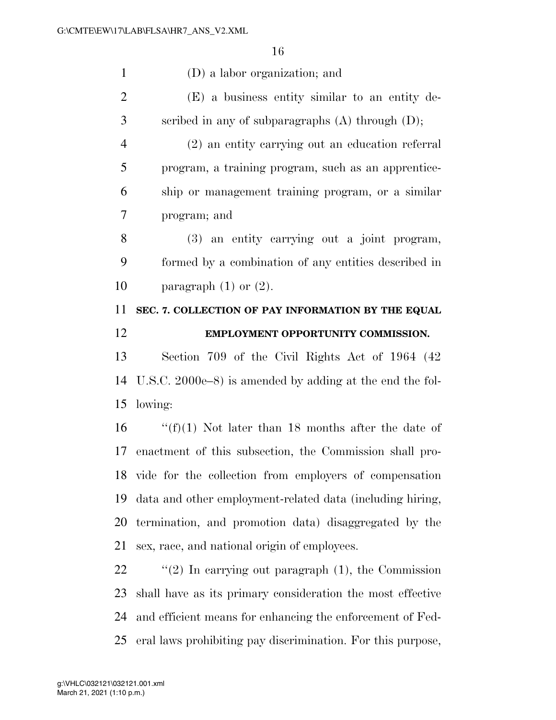(D) a labor organization; and (E) a business entity similar to an entity de- scribed in any of subparagraphs (A) through (D); (2) an entity carrying out an education referral program, a training program, such as an apprentice- ship or management training program, or a similar program; and (3) an entity carrying out a joint program, formed by a combination of any entities described in 10 paragraph  $(1)$  or  $(2)$ . **SEC. 7. COLLECTION OF PAY INFORMATION BY THE EQUAL EMPLOYMENT OPPORTUNITY COMMISSION.**  Section 709 of the Civil Rights Act of 1964 (42 U.S.C. 2000e–8) is amended by adding at the end the fol- lowing:  $\frac{f(f)}{1}$  Not later than 18 months after the date of enactment of this subsection, the Commission shall pro- vide for the collection from employers of compensation data and other employment-related data (including hiring, termination, and promotion data) disaggregated by the sex, race, and national origin of employees. "(2) In carrying out paragraph (1), the Commission shall have as its primary consideration the most effective and efficient means for enhancing the enforcement of Fed-

eral laws prohibiting pay discrimination. For this purpose,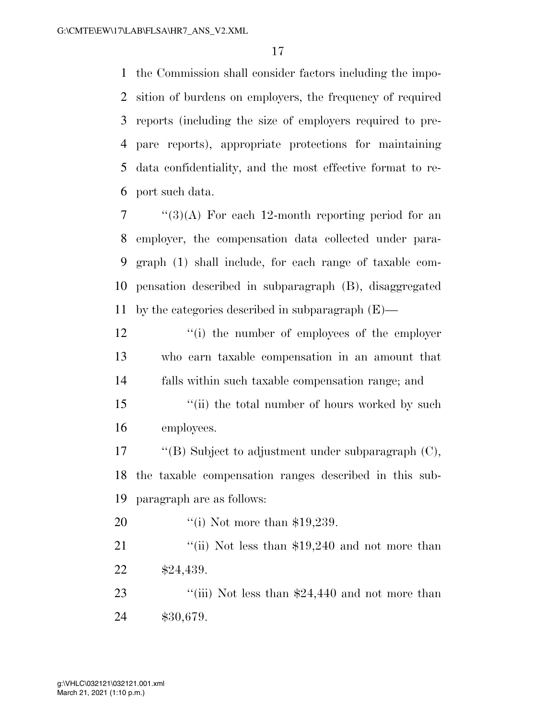the Commission shall consider factors including the impo- sition of burdens on employers, the frequency of required reports (including the size of employers required to pre- pare reports), appropriate protections for maintaining data confidentiality, and the most effective format to re-port such data.

 ''(3)(A) For each 12-month reporting period for an employer, the compensation data collected under para- graph (1) shall include, for each range of taxable com- pensation described in subparagraph (B), disaggregated by the categories described in subparagraph (E)—

12 ''(i) the number of employees of the employer who earn taxable compensation in an amount that falls within such taxable compensation range; and

15 ''(ii) the total number of hours worked by such employees.

 ''(B) Subject to adjustment under subparagraph (C), the taxable compensation ranges described in this sub-paragraph are as follows:

20 '(i) Not more than \$19,239.

21 ''(ii) Not less than \$19,240 and not more than \$24,439.

23 ''(iii) Not less than \$24,440 and not more than \$30,679.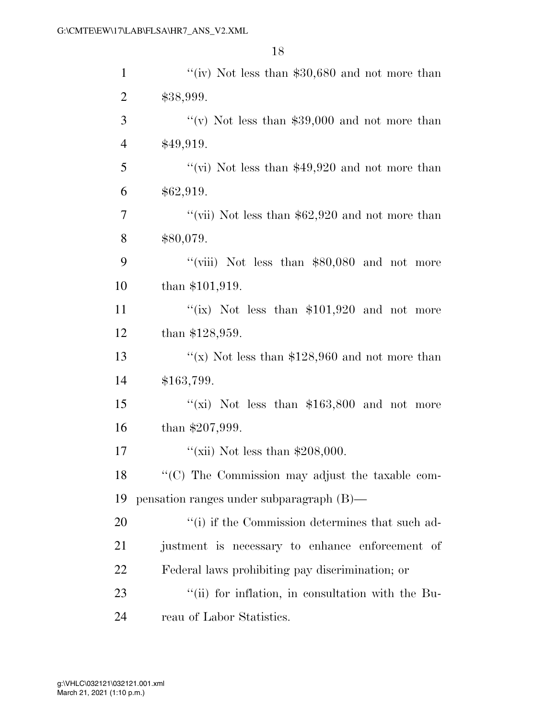| $\mathbf{1}$   | "(iv) Not less than $$30,680$ and not more than   |
|----------------|---------------------------------------------------|
| $\overline{2}$ | \$38,999.                                         |
| 3              | "(v) Not less than $$39,000$ and not more than    |
| $\overline{4}$ | \$49,919.                                         |
| 5              | "(vi) Not less than $$49,920$ and not more than   |
| 6              | \$62,919.                                         |
| 7              | "(vii) Not less than $$62,920$ and not more than  |
| 8              | \$80,079.                                         |
| 9              | "(viii) Not less than $$80,080$ and not more      |
| 10             | than $$101,919$ .                                 |
| 11             | "(ix) Not less than $$101,920$ and not more       |
| 12             | than $$128,959$ .                                 |
| 13             | "(x) Not less than $$128,960$ and not more than   |
| 14             | \$163,799.                                        |
| 15             | "(xi) Not less than $$163,800$ and not more       |
| 16             | than $$207,999$ .                                 |
| 17             | "(xii) Not less than $$208,000$ .                 |
| 18             | "(C) The Commission may adjust the taxable com-   |
| 19             | pensation ranges under subparagraph (B)—          |
| 20             | "(i) if the Commission determines that such ad-   |
| 21             | justment is necessary to enhance enforcement of   |
| 22             | Federal laws prohibiting pay discrimination; or   |
| 23             | "(ii) for inflation, in consultation with the Bu- |
| 24             | reau of Labor Statistics.                         |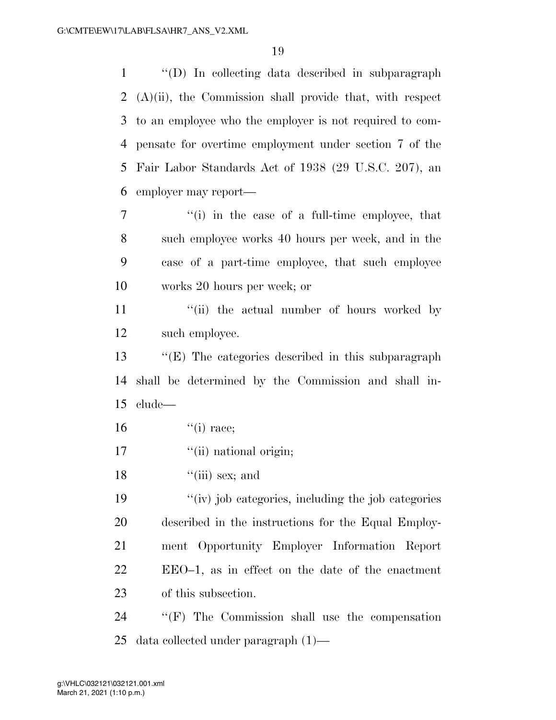''(D) In collecting data described in subparagraph (A)(ii), the Commission shall provide that, with respect to an employee who the employer is not required to com- pensate for overtime employment under section 7 of the Fair Labor Standards Act of 1938 (29 U.S.C. 207), an employer may report—

 ''(i) in the case of a full-time employee, that such employee works 40 hours per week, and in the case of a part-time employee, that such employee works 20 hours per week; or

11 ''(ii) the actual number of hours worked by such employee.

 ''(E) The categories described in this subparagraph shall be determined by the Commission and shall in-clude—

- ''(i) race:
- 17  $\frac{1}{10}$  ''(ii) national origin;
- 18  $"$ (iii) sex; and

 ''(iv) job categories, including the job categories described in the instructions for the Equal Employ- ment Opportunity Employer Information Report EEO–1, as in effect on the date of the enactment of this subsection.

 ''(F) The Commission shall use the compensation data collected under paragraph (1)—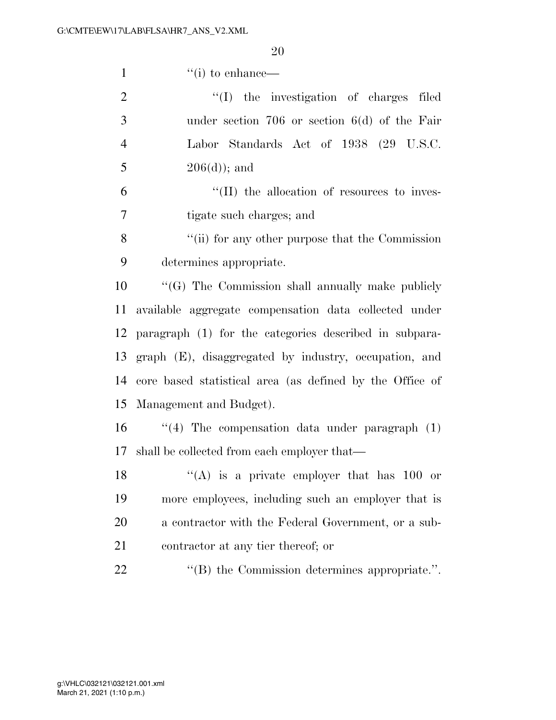| $\mathbf{1}$   | $``(i)$ to enhance—                                      |
|----------------|----------------------------------------------------------|
| $\overline{2}$ | "(I) the investigation of charges filed                  |
| 3              | under section $706$ or section $6(d)$ of the Fair        |
| $\overline{4}$ | Labor Standards Act of 1938 (29 U.S.C.                   |
| 5              | $206(d)$ ; and                                           |
| 6              | $\lq\lq$ (II) the allocation of resources to inves-      |
| $\tau$         | tigate such charges; and                                 |
| 8              | "(ii) for any other purpose that the Commission          |
| 9              | determines appropriate.                                  |
| 10             | "(G) The Commission shall annually make publicly         |
| 11             | available aggregate compensation data collected under    |
| 12             | paragraph (1) for the categories described in subpara-   |
| 13             | graph (E), disaggregated by industry, occupation, and    |
| 14             | core based statistical area (as defined by the Office of |
| 15             | Management and Budget).                                  |
| 16             | $(4)$ The compensation data under paragraph $(1)$        |
|                | 17 shall be collected from each employer that—           |
| 18             | $(4)$ is a private employer that has 100 or              |
| 19             | more employees, including such an employer that is       |
| 20             | a contractor with the Federal Government, or a sub-      |
| 21             | contractor at any tier thereof; or                       |
| 22             | $\cdot$ (B) the Commission determines appropriate.".     |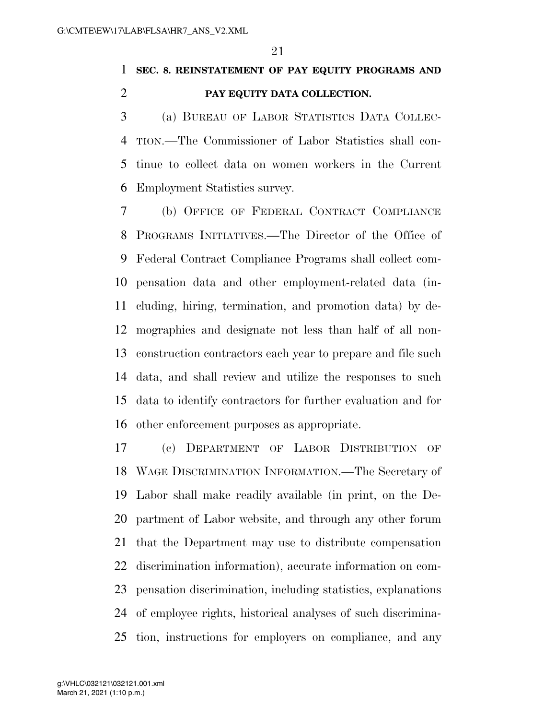### **SEC. 8. REINSTATEMENT OF PAY EQUITY PROGRAMS AND PAY EQUITY DATA COLLECTION.**

 (a) BUREAU OF LABOR STATISTICS DATA COLLEC- TION.—The Commissioner of Labor Statistics shall con- tinue to collect data on women workers in the Current Employment Statistics survey.

 (b) OFFICE OF FEDERAL CONTRACT COMPLIANCE PROGRAMS INITIATIVES.—The Director of the Office of Federal Contract Compliance Programs shall collect com- pensation data and other employment-related data (in- cluding, hiring, termination, and promotion data) by de- mographics and designate not less than half of all non- construction contractors each year to prepare and file such data, and shall review and utilize the responses to such data to identify contractors for further evaluation and for other enforcement purposes as appropriate.

 (c) DEPARTMENT OF LABOR DISTRIBUTION OF WAGE DISCRIMINATION INFORMATION.—The Secretary of Labor shall make readily available (in print, on the De- partment of Labor website, and through any other forum that the Department may use to distribute compensation discrimination information), accurate information on com- pensation discrimination, including statistics, explanations of employee rights, historical analyses of such discrimina-tion, instructions for employers on compliance, and any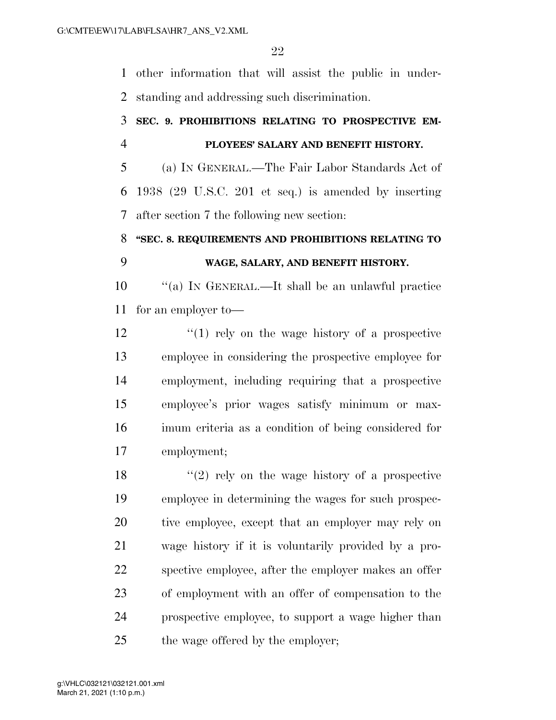other information that will assist the public in under-standing and addressing such discrimination.

### **SEC. 9. PROHIBITIONS RELATING TO PROSPECTIVE EM-PLOYEES' SALARY AND BENEFIT HISTORY.**

 (a) IN GENERAL.—The Fair Labor Standards Act of 1938 (29 U.S.C. 201 et seq.) is amended by inserting after section 7 the following new section:

## **''SEC. 8. REQUIREMENTS AND PROHIBITIONS RELATING TO WAGE, SALARY, AND BENEFIT HISTORY.**

 ''(a) IN GENERAL.—It shall be an unlawful practice for an employer to—

12 ''(1) rely on the wage history of a prospective employee in considering the prospective employee for employment, including requiring that a prospective employee's prior wages satisfy minimum or max- imum criteria as a condition of being considered for employment;

18 ''(2) rely on the wage history of a prospective employee in determining the wages for such prospec- tive employee, except that an employer may rely on wage history if it is voluntarily provided by a pro- spective employee, after the employer makes an offer of employment with an offer of compensation to the prospective employee, to support a wage higher than 25 the wage offered by the employer;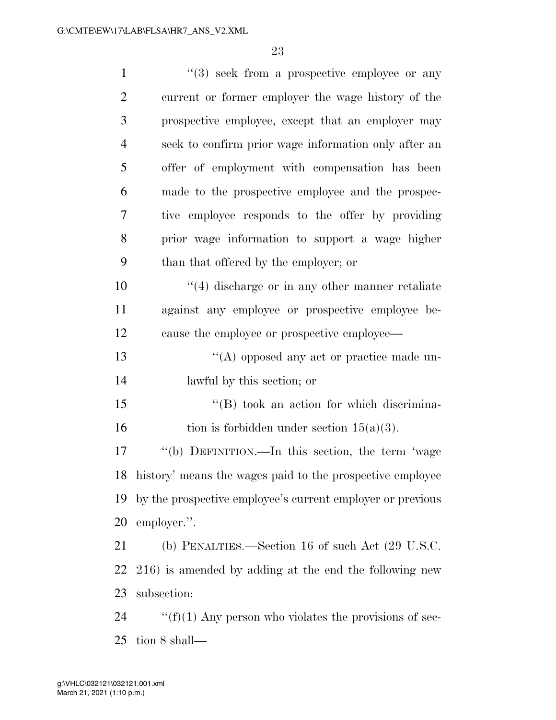| $\mathbf{1}$   | $(3)$ seek from a prospective employee or any                |
|----------------|--------------------------------------------------------------|
| $\overline{2}$ | current or former employer the wage history of the           |
| 3              | prospective employee, except that an employer may            |
| $\overline{4}$ | seek to confirm prior wage information only after an         |
| 5              | offer of employment with compensation has been               |
| 6              | made to the prospective employee and the prospec-            |
| 7              | tive employee responds to the offer by providing             |
| 8              | prior wage information to support a wage higher              |
| 9              | than that offered by the employer; or                        |
| 10             | $\lq(4)$ discharge or in any other manner retaliate          |
| 11             | against any employee or prospective employee be-             |
| 12             | cause the employee or prospective employee—                  |
| 13             | $\lq\lq$ opposed any act or practice made un-                |
| 14             | lawful by this section; or                                   |
| 15             | $\lq\lq (B)$ took an action for which discrimina-            |
| 16             | tion is forbidden under section $15(a)(3)$ .                 |
| 17             | "(b) DEFINITION.—In this section, the term 'wage             |
|                | 18 history' means the wages paid to the prospective employee |
| 19             | by the prospective employee's current employer or previous   |
| 20             | employer.".                                                  |
| 21             | (b) PENALTIES.—Section 16 of such Act (29 U.S.C.             |
| 22             | 216) is amended by adding at the end the following new       |
| 23             | subsection:                                                  |
| 24             | " $(f)(1)$ Any person who violates the provisions of sec-    |

tion 8 shall—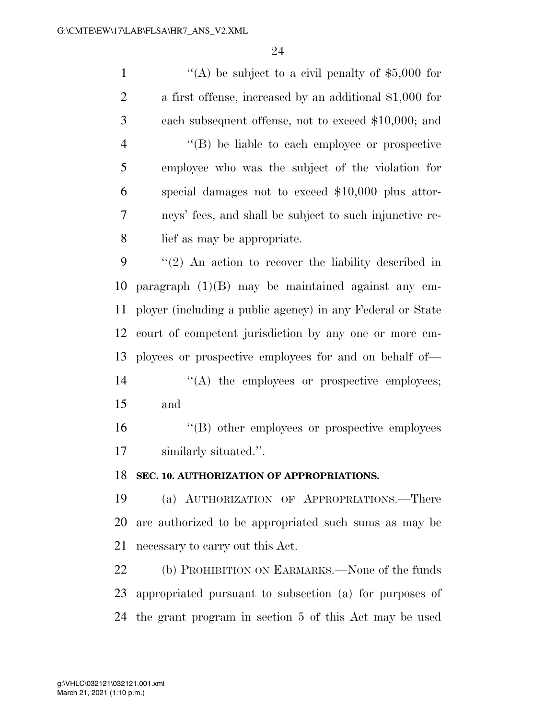$\langle (A)$  be subject to a civil penalty of \$5,000 for a first offense, increased by an additional \$1,000 for each subsequent offense, not to exceed \$10,000; and ''(B) be liable to each employee or prospective employee who was the subject of the violation for special damages not to exceed \$10,000 plus attor- neys' fees, and shall be subject to such injunctive re- lief as may be appropriate. ''(2) An action to recover the liability described in paragraph (1)(B) may be maintained against any em- ployer (including a public agency) in any Federal or State court of competent jurisdiction by any one or more em- ployees or prospective employees for and on behalf of—  $\langle (A)$  the employees or prospective employees; and ''(B) other employees or prospective employees similarly situated.''. **SEC. 10. AUTHORIZATION OF APPROPRIATIONS.**  (a) AUTHORIZATION OF APPROPRIATIONS.—There

 are authorized to be appropriated such sums as may be necessary to carry out this Act.

22 (b) PROHIBITION ON EARMARKS.—None of the funds appropriated pursuant to subsection (a) for purposes of the grant program in section 5 of this Act may be used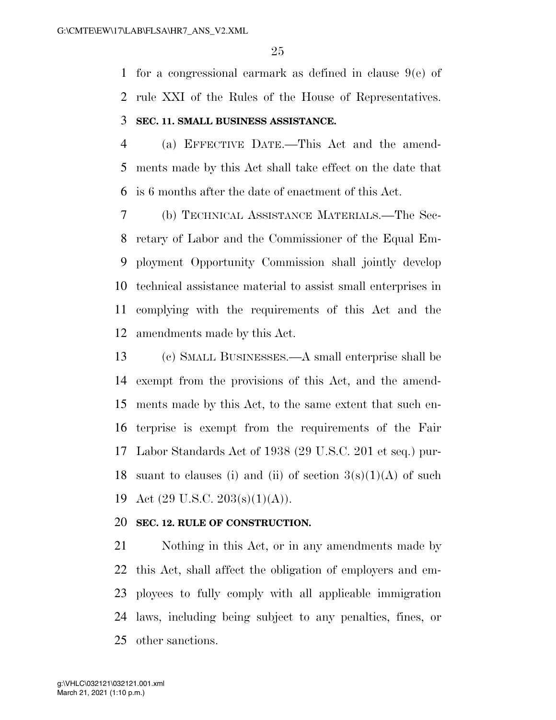for a congressional earmark as defined in clause 9(e) of rule XXI of the Rules of the House of Representatives. **SEC. 11. SMALL BUSINESS ASSISTANCE.** 

 (a) EFFECTIVE DATE.—This Act and the amend- ments made by this Act shall take effect on the date that is 6 months after the date of enactment of this Act.

 (b) TECHNICAL ASSISTANCE MATERIALS.—The Sec- retary of Labor and the Commissioner of the Equal Em- ployment Opportunity Commission shall jointly develop technical assistance material to assist small enterprises in complying with the requirements of this Act and the amendments made by this Act.

 (c) SMALL BUSINESSES.—A small enterprise shall be exempt from the provisions of this Act, and the amend- ments made by this Act, to the same extent that such en- terprise is exempt from the requirements of the Fair Labor Standards Act of 1938 (29 U.S.C. 201 et seq.) pur-18 suant to clauses (i) and (ii) of section  $3(s)(1)(A)$  of such 19 Act  $(29 \text{ U.S.C. } 203 \text{(s)}(1) \text{(A)}).$ 

#### **SEC. 12. RULE OF CONSTRUCTION.**

 Nothing in this Act, or in any amendments made by this Act, shall affect the obligation of employers and em- ployees to fully comply with all applicable immigration laws, including being subject to any penalties, fines, or other sanctions.